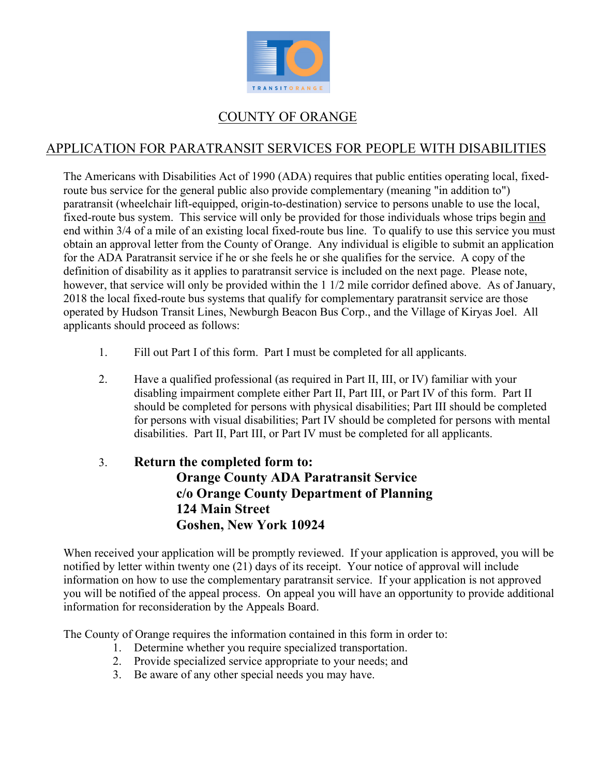

# COUNTY OF ORANGE

# APPLICATION FOR PARATRANSIT SERVICES FOR PEOPLE WITH DISABILITIES

The Americans with Disabilities Act of 1990 (ADA) requires that public entities operating local, fixedroute bus service for the general public also provide complementary (meaning "in addition to") paratransit (wheelchair lift-equipped, origin-to-destination) service to persons unable to use the local, fixed-route bus system. This service will only be provided for those individuals whose trips begin and end within 3/4 of a mile of an existing local fixed-route bus line. To qualify to use this service you must obtain an approval letter from the County of Orange. Any individual is eligible to submit an application for the ADA Paratransit service if he or she feels he or she qualifies for the service. A copy of the definition of disability as it applies to paratransit service is included on the next page. Please note, however, that service will only be provided within the 1 1/2 mile corridor defined above. As of January, 2018 the local fixed-route bus systems that qualify for complementary paratransit service are those operated by Hudson Transit Lines, Newburgh Beacon Bus Corp., and the Village of Kiryas Joel. All applicants should proceed as follows:

- 1. Fill out Part I of this form. Part I must be completed for all applicants.
- 2. Have a qualified professional (as required in Part II, III, or IV) familiar with your disabling impairment complete either Part II, Part III, or Part IV of this form. Part II should be completed for persons with physical disabilities; Part III should be completed for persons with visual disabilities; Part IV should be completed for persons with mental disabilities. Part II, Part III, or Part IV must be completed for all applicants.

# 3. **Return the completed form to: Orange County ADA Paratransit Service c/o Orange County Department of Planning 124 Main Street Goshen, New York 10924**

When received your application will be promptly reviewed. If your application is approved, you will be notified by letter within twenty one (21) days of its receipt. Your notice of approval will include information on how to use the complementary paratransit service. If your application is not approved you will be notified of the appeal process. On appeal you will have an opportunity to provide additional information for reconsideration by the Appeals Board.

The County of Orange requires the information contained in this form in order to:

- 1. Determine whether you require specialized transportation.
- 2. Provide specialized service appropriate to your needs; and
- 3. Be aware of any other special needs you may have.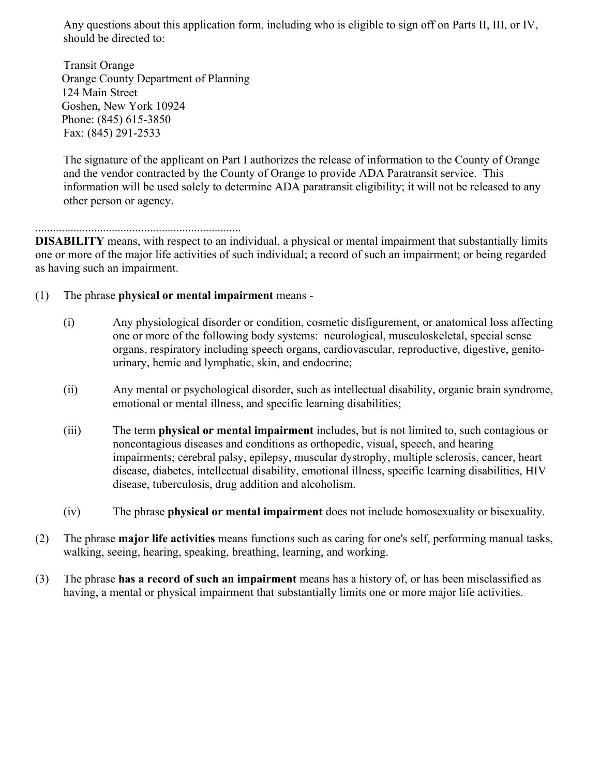Any questions about this application form, including who is eligible to sign off on Parts II, III, or IV, should be directed to:

 Transit Orange Orange County Department of Planning 124 Main Street Goshen, New York 10924 Phone: (845) 615-3850 Fax: (845) 291-2533

The signature of the applicant on Part I authorizes the release of information to the County of Orange and the vendor contracted by the County of Orange to provide ADA Paratransit service. This information will be used solely to determine ADA paratransit eligibility; it will not be released to any other person or agency.

#### ......................................................................

**DISABILITY** means, with respect to an individual, a physical or mental impairment that substantially limits one or more of the major life activities of such individual; a record of such an impairment; or being regarded as having such an impairment.

- (1) The phrase **physical or mental impairment** means
	- (i) Any physiological disorder or condition, cosmetic disfigurement, or anatomical loss affecting one or more of the following body systems: neurological, musculoskeletal, special sense organs, respiratory including speech organs, cardiovascular, reproductive, digestive, genitourinary, hemic and lymphatic, skin, and endocrine;
	- (ii) Any mental or psychological disorder, such as intellectual disability, organic brain syndrome, emotional or mental illness, and specific learning disabilities;
	- (iii) The term **physical or mental impairment** includes, but is not limited to, such contagious or noncontagious diseases and conditions as orthopedic, visual, speech, and hearing impairments; cerebral palsy, epilepsy, muscular dystrophy, multiple sclerosis, cancer, heart disease, diabetes, intellectual disability, emotional illness, specific learning disabilities, HIV disease, tuberculosis, drug addition and alcoholism.
	- (iv) The phrase **physical or mental impairment** does not include homosexuality or bisexuality.
- (2) The phrase **major life activities** means functions such as caring for one's self, performing manual tasks, walking, seeing, hearing, speaking, breathing, learning, and working.
- (3) The phrase **has a record of such an impairment** means has a history of, or has been misclassified as having, a mental or physical impairment that substantially limits one or more major life activities.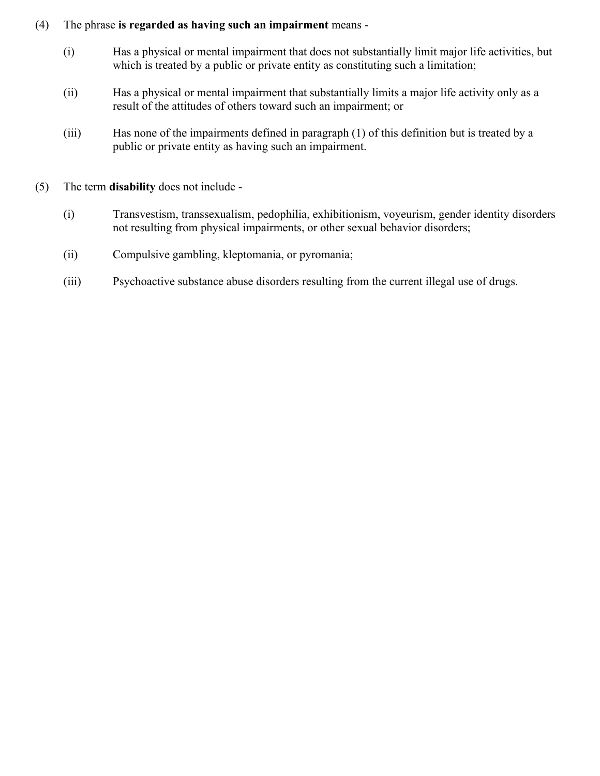#### (4) The phrase **is regarded as having such an impairment** means -

- (i) Has a physical or mental impairment that does not substantially limit major life activities, but which is treated by a public or private entity as constituting such a limitation;
- (ii) Has a physical or mental impairment that substantially limits a major life activity only as a result of the attitudes of others toward such an impairment; or
- (iii) Has none of the impairments defined in paragraph (1) of this definition but is treated by a public or private entity as having such an impairment.
- (5) The term **disability** does not include
	- (i) Transvestism, transsexualism, pedophilia, exhibitionism, voyeurism, gender identity disorders not resulting from physical impairments, or other sexual behavior disorders;
	- (ii) Compulsive gambling, kleptomania, or pyromania;
	- (iii) Psychoactive substance abuse disorders resulting from the current illegal use of drugs.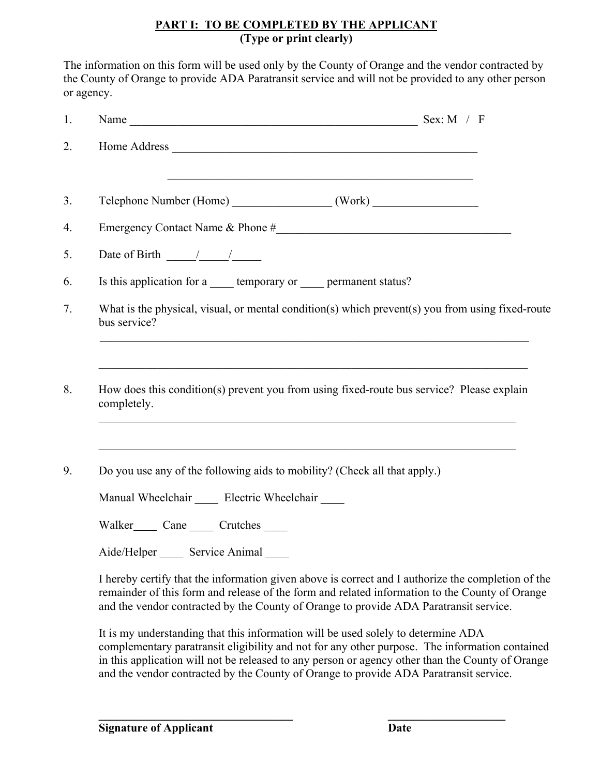## **PART I: TO BE COMPLETED BY THE APPLICANT (Type or print clearly)**

The information on this form will be used only by the County of Orange and the vendor contracted by the County of Orange to provide ADA Paratransit service and will not be provided to any other person or agency.

| 1.       | Name $\frac{1}{\sqrt{1-\frac{1}{2}}\sqrt{1-\frac{1}{2}}\sqrt{1-\frac{1}{2}}\sqrt{1-\frac{1}{2}}\sqrt{1-\frac{1}{2}}\sqrt{1-\frac{1}{2}}\sqrt{1-\frac{1}{2}}\sqrt{1-\frac{1}{2}}\sqrt{1-\frac{1}{2}}\sqrt{1-\frac{1}{2}}\sqrt{1-\frac{1}{2}}\sqrt{1-\frac{1}{2}}\sqrt{1-\frac{1}{2}}\sqrt{1-\frac{1}{2}}\sqrt{1-\frac{1}{2}}\sqrt{1-\frac{1}{2}}\sqrt{1-\frac{1}{2}}\sqrt{1-\frac{1}{2}}\sqrt{1-\frac{1}{2}}\$ |
|----------|---------------------------------------------------------------------------------------------------------------------------------------------------------------------------------------------------------------------------------------------------------------------------------------------------------------------------------------------------------------------------------------------------------------|
| 2.       |                                                                                                                                                                                                                                                                                                                                                                                                               |
| 3.       |                                                                                                                                                                                                                                                                                                                                                                                                               |
| 4.       |                                                                                                                                                                                                                                                                                                                                                                                                               |
| 5.       | Date of Birth $\frac{1}{\sqrt{2\pi}}$                                                                                                                                                                                                                                                                                                                                                                         |
| 6.       | Is this application for a ______ temporary or _____ permanent status?                                                                                                                                                                                                                                                                                                                                         |
| 7.       | What is the physical, visual, or mental condition(s) which prevent(s) you from using fixed-route<br>bus service?                                                                                                                                                                                                                                                                                              |
|          |                                                                                                                                                                                                                                                                                                                                                                                                               |
|          | How does this condition(s) prevent you from using fixed-route bus service? Please explain<br>completely.                                                                                                                                                                                                                                                                                                      |
|          | Do you use any of the following aids to mobility? (Check all that apply.)                                                                                                                                                                                                                                                                                                                                     |
|          | Manual Wheelchair _____ Electric Wheelchair ____                                                                                                                                                                                                                                                                                                                                                              |
| 8.<br>9. |                                                                                                                                                                                                                                                                                                                                                                                                               |
|          | Aide/Helper ______ Service Animal                                                                                                                                                                                                                                                                                                                                                                             |

It is my understanding that this information will be used solely to determine ADA complementary paratransit eligibility and not for any other purpose. The information contained in this application will not be released to any person or agency other than the County of Orange and the vendor contracted by the County of Orange to provide ADA Paratransit service.

 $\mathcal{L} = \{ \mathcal{L} \mid \mathcal{L} \in \mathcal{L} \}$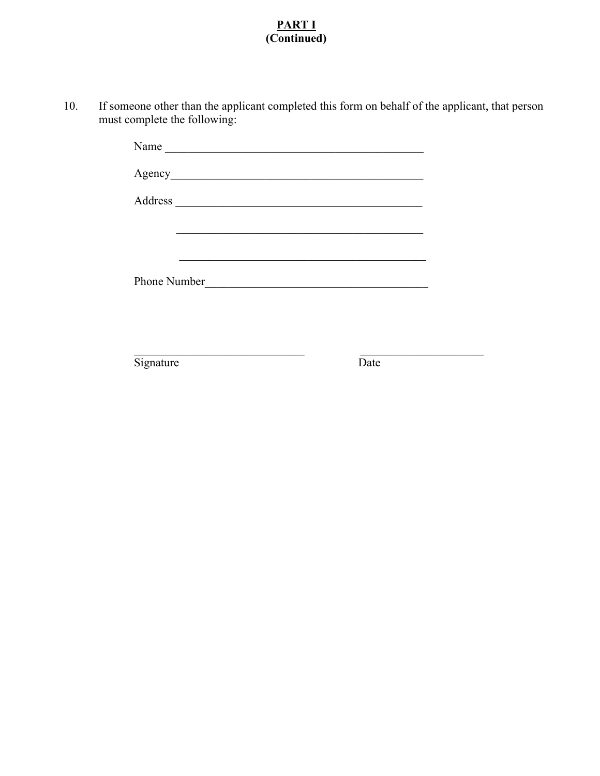### **PART I (Continued)**

 10. If someone other than the applicant completed this form on behalf of the applicant, that person must complete the following:

|              |                                                    | <u> 1989 - Johann John Stone, markin sanat masjid a shekara ta 1989 - An tsarat masjid a shekara ta 1989 - An tsa</u> |  |
|--------------|----------------------------------------------------|-----------------------------------------------------------------------------------------------------------------------|--|
|              |                                                    |                                                                                                                       |  |
| Phone Number | <u> 1989 - John Stein, Amerikaansk politiker (</u> |                                                                                                                       |  |
|              |                                                    |                                                                                                                       |  |
|              |                                                    |                                                                                                                       |  |

Signature Date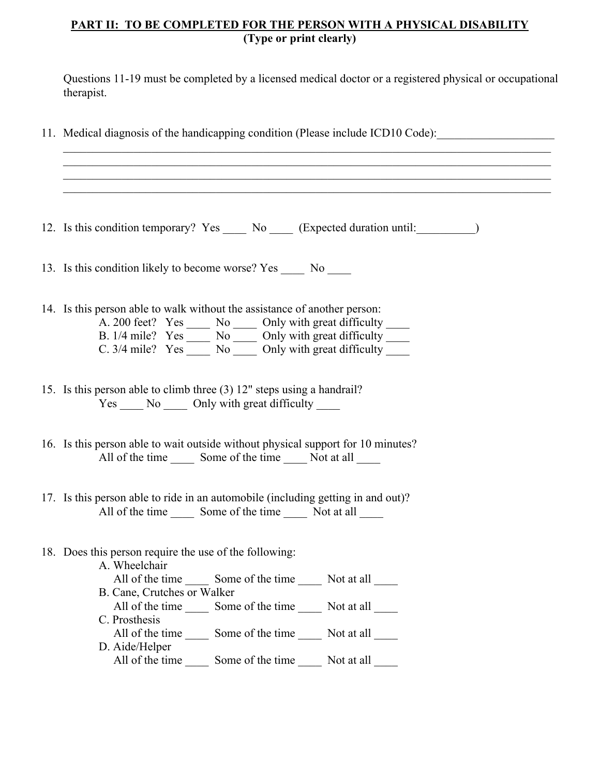#### **PART II: TO BE COMPLETED FOR THE PERSON WITH A PHYSICAL DISABILITY (Type or print clearly)**

Questions 11-19 must be completed by a licensed medical doctor or a registered physical or occupational therapist.

11. Medical diagnosis of the handicapping condition (Please include ICD10 Code): 12. Is this condition temporary? Yes No (Expected duration until: 13. Is this condition likely to become worse? Yes No 14. Is this person able to walk without the assistance of another person: A. 200 feet? Yes \_\_\_\_\_ No \_\_\_\_\_ Only with great difficulty \_\_\_\_ B.  $1/4$  mile? Yes  $\frac{1}{\sqrt{1-\frac{1}{1-\frac{1}{1-\frac{1}{1-\frac{1}{1-\frac{1}{1-\frac{1}{1-\frac{1}{1-\frac{1}{1-\frac{1}{1-\frac{1}{1-\frac{1}{1-\frac{1}{1-\frac{1}{1-\frac{1}{1-\frac{1}{1-\frac{1}{1-\frac{1}{1-\frac{1}{1-\frac{1}{1-\frac{1}{1-\frac{1}{1-\frac{1}{1-\frac{1}{1-\frac{1}{1-\frac{1}{1-\frac{1}{1-\frac{1}{1-\frac{1}{1-\frac{1}{1-\frac{1}{1-\frac{1}{1-\frac{1}{1$ C.  $3/4$  mile? Yes  $\_\_\_\_\$  No  $\_\_\_\_\$  Only with great difficulty 15. Is this person able to climb three (3) 12" steps using a handrail? Yes No Only with great difficulty 16. Is this person able to wait outside without physical support for 10 minutes? All of the time Some of the time Not at all 17. Is this person able to ride in an automobile (including getting in and out)? All of the time  $\_\_\_\_\$  Some of the time  $\_\_\_\_\$  Not at all 18. Does this person require the use of the following: A. Wheelchair All of the time Some of the time Not at all B. Cane, Crutches or Walker All of the time Some of the time Not at all C. Prosthesis All of the time Some of the time Not at all D. Aide/Helper All of the time Some of the time Not at all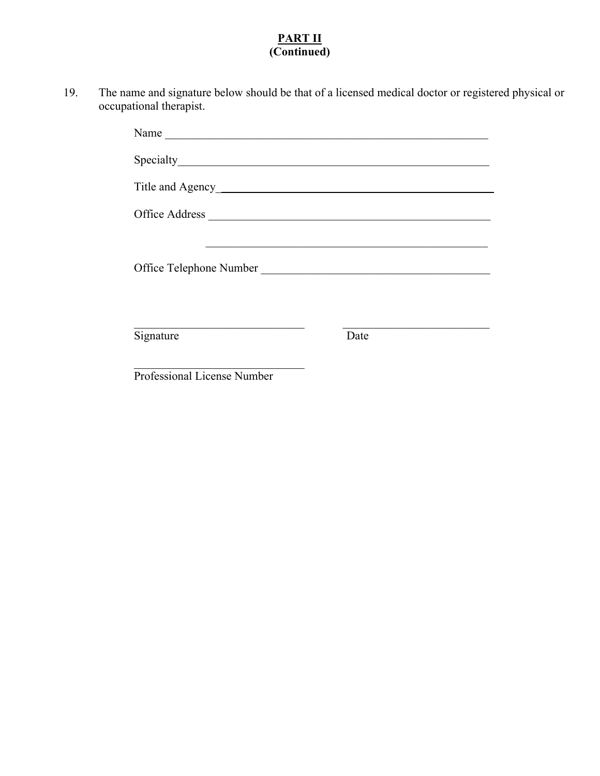## **PART II (Continued)**

 19. The name and signature below should be that of a licensed medical doctor or registered physical or occupational therapist.

| Name                                                                                                                                                                                                                                 |      |
|--------------------------------------------------------------------------------------------------------------------------------------------------------------------------------------------------------------------------------------|------|
|                                                                                                                                                                                                                                      |      |
| Title and Agency                                                                                                                                                                                                                     |      |
|                                                                                                                                                                                                                                      |      |
| Office Telephone Number <b>Service Service Service Service Service Service Service Service Service Service Service Service Service Service Service Service Service Service Service Service Service Service Service Service Servi</b> |      |
| Signature                                                                                                                                                                                                                            | Date |
| Professional License Number                                                                                                                                                                                                          |      |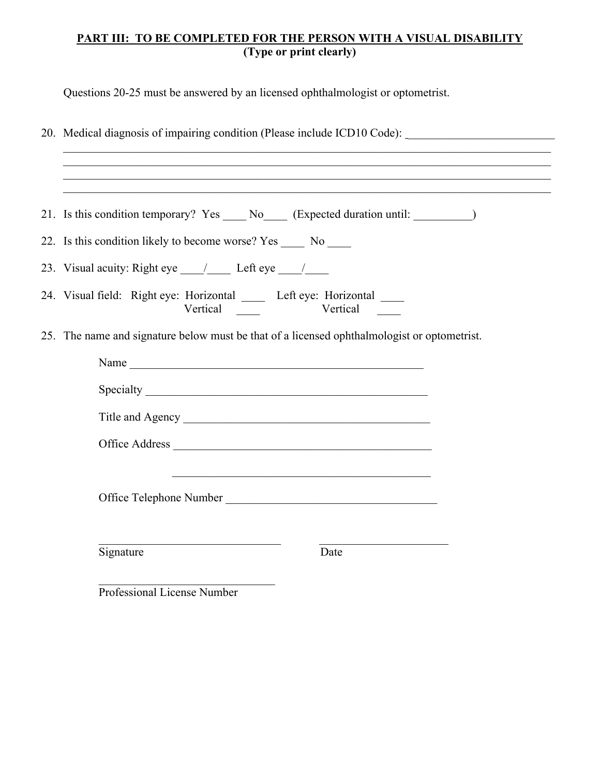## **PART III: TO BE COMPLETED FOR THE PERSON WITH A VISUAL DISABILITY (Type or print clearly)**

Questions 20-25 must be answered by an licensed ophthalmologist or optometrist.

| 20. Medical diagnosis of impairing condition (Please include ICD10 Code): _________________________<br>,我们也不能在这里的时候,我们也不能在这里的时候,我们也不能会在这里的时候,我们也不能会在这里的时候,我们也不能会在这里的时候,我们也不能会在这里的时候,我们也 |
|-----------------------------------------------------------------------------------------------------------------------------------------------------------------------------------------|
| ,我们也不能在这里的时候,我们也不能在这里的时候,我们也不能会在这里的时候,我们也不能会在这里的时候,我们也不能会在这里的时候,我们也不能会在这里的时候,我们也不                                                                                                       |
| 21. Is this condition temporary? Yes _____ No_____ (Expected duration until: __________)                                                                                                |
| 22. Is this condition likely to become worse? Yes ______ No _____                                                                                                                       |
|                                                                                                                                                                                         |
| 24. Visual field: Right eye: Horizontal _____ Left eye: Horizontal ____                                                                                                                 |
| 25. The name and signature below must be that of a licensed ophthalmologist or optometrist.                                                                                             |
| Name                                                                                                                                                                                    |
|                                                                                                                                                                                         |
| Title and Agency                                                                                                                                                                        |
|                                                                                                                                                                                         |
| <u> 1989 - Johann Stein, marwolaethau a bhann an t-Amhain ann an t-Amhain an t-Amhain an t-Amhain an t-Amhain an </u>                                                                   |
| Office Telephone Number                                                                                                                                                                 |
| Signature<br>Date                                                                                                                                                                       |
| Professional License Number                                                                                                                                                             |